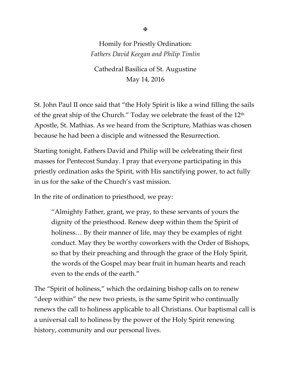## Homily for Priestly Ordination: *Fathers David Keegan and Philip Timlin*

Cathedral Basilica of St. Augustine May 14, 2016

St. John Paul II once said that "the Holy Spirit is like a wind filling the sails of the great ship of the Church." Today we celebrate the feast of the 12<sup>th</sup> Apostle, St. Mathias. As we heard from the Scripture, Mathias was chosen because he had been a disciple and witnessed the Resurrection.

Starting tonight, Fathers David and Philip will be celebrating their first masses for Pentecost Sunday. I pray that everyone participating in this priestly ordination asks the Spirit, with His sanctifying power, to act fully in us for the sake of the Church's vast mission.

In the rite of ordination to priesthood, we pray:

"Almighty Father, grant, we pray, to these servants of yours the dignity of the priesthood. Renew deep within them the Spirit of holiness… By their manner of life, may they be examples of right conduct. May they be worthy coworkers with the Order of Bishops, so that by their preaching and through the grace of the Holy Spirit, the words of the Gospel may bear fruit in human hearts and reach even to the ends of the earth."

The "Spirit of holiness," which the ordaining bishop calls on to renew "deep within" the new two priests, is the same Spirit who continually renews the call to holiness applicable to all Christians. Our baptismal call is a universal call to holiness by the power of the Holy Spirit renewing history, community and our personal lives.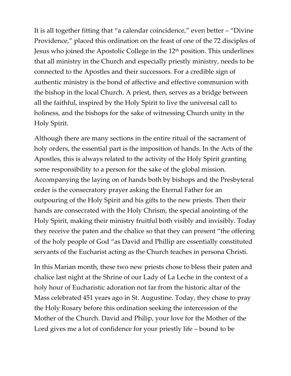It is all together fitting that "a calendar coincidence," even better – "Divine Providence," placed this ordination on the feast of one of the 72 disciples of Jesus who joined the Apostolic College in the 12<sup>th</sup> position. This underlines that all ministry in the Church and especially priestly ministry, needs to be connected to the Apostles and their successors. For a credible sign of authentic ministry is the bond of affective and effective communion with the bishop in the local Church. A priest, then, serves as a bridge between all the faithful, inspired by the Holy Spirit to live the universal call to holiness, and the bishops for the sake of witnessing Church unity in the Holy Spirit.

Although there are many sections in the entire ritual of the sacrament of holy orders, the essential part is the imposition of hands. In the Acts of the Apostles, this is always related to the activity of the Holy Spirit granting some responsibility to a person for the sake of the global mission. Accompanying the laying on of hands both by bishops and the Presbyteral order is the consecratory prayer asking the Eternal Father for an outpouring of the Holy Spirit and his gifts to the new priests. Then their hands are consecrated with the Holy Chrism, the special anointing of the Holy Spirit, making their ministry fruitful both visibly and invisibly. Today they receive the paten and the chalice so that they can present "the offering of the holy people of God "as David and Phillip are essentially constituted servants of the Eucharist acting as the Church teaches in persona Christi.

In this Marian month, these two new priests chose to bless their paten and chalice last night at the Shrine of our Lady of La Leche in the context of a holy hour of Eucharistic adoration not far from the historic altar of the Mass celebrated 451 years ago in St. Augustine. Today, they chose to pray the Holy Rosary before this ordination seeking the intercession of the Mother of the Church. David and Philip, your love for the Mother of the Lord gives me a lot of confidence for your priestly life – bound to be